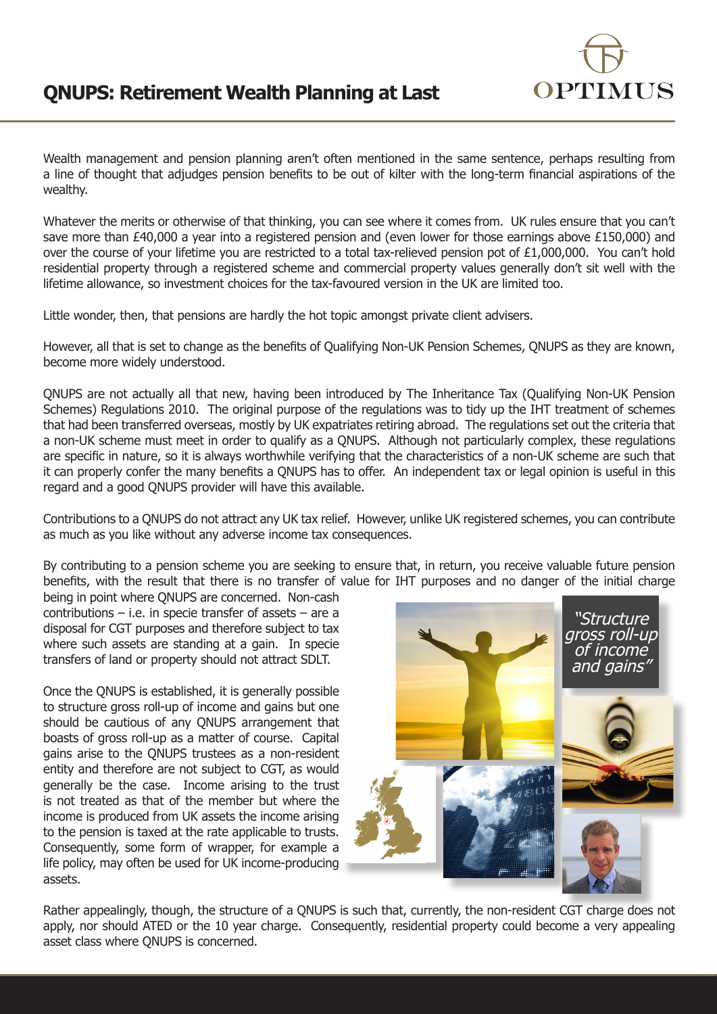

Wealth management and pension planning aren't often mentioned in the same sentence, perhaps resulting from a line of thought that adjudges pension benefits to be out of kilter with the long-term financial aspirations of the wealthy.

Whatever the merits or otherwise of that thinking, you can see where it comes from. UK rules ensure that you can't save more than £40,000 a year into a registered pension and (even lower for those earnings above £150,000) and over the course of your lifetime you are restricted to a total tax-relieved pension pot of £1,000,000. You can't hold residential property through a registered scheme and commercial property values generally don't sit well with the lifetime allowance, so investment choices for the tax-favoured version in the UK are limited too.

Little wonder, then, that pensions are hardly the hot topic amongst private client advisers.

However, all that is set to change as the benefits of Qualifying Non-UK Pension Schemes, QNUPS as they are known, become more widely understood.

QNUPS are not actually all that new, having been introduced by The Inheritance Tax (Qualifying Non-UK Pension Schemes) Regulations 2010. The original purpose of the regulations was to tidy up the IHT treatment of schemes that had been transferred overseas, mostly by UK expatriates retiring abroad. The regulations set out the criteria that a non-UK scheme must meet in order to qualify as a QNUPS. Although not particularly complex, these regulations are specific in nature, so it is always worthwhile verifying that the characteristics of a non-UK scheme are such that it can properly confer the many benefits a QNUPS has to offer. An independent tax or legal opinion is useful in this regard and a good QNUPS provider will have this available.

Contributions to a QNUPS do not attract any UK tax relief. However, unlike UK registered schemes, you can contribute as much as you like without any adverse income tax consequences.

By contributing to a pension scheme you are seeking to ensure that, in return, you receive valuable future pension benefits, with the result that there is no transfer of value for IHT purposes and no danger of the initial charge

being in point where QNUPS are concerned. Non-cash contributions – i.e. in specie transfer of assets – are a disposal for CGT purposes and therefore subject to tax where such assets are standing at a gain. In specie transfers of land or property should not attract SDLT.

Once the QNUPS is established, it is generally possible to structure gross roll-up of income and gains but one should be cautious of any QNUPS arrangement that boasts of gross roll-up as a matter of course. Capital gains arise to the QNUPS trustees as a non-resident entity and therefore are not subject to CGT, as would generally be the case. Income arising to the trust is not treated as that of the member but where the income is produced from UK assets the income arising to the pension is taxed at the rate applicable to trusts. Consequently, some form of wrapper, for example a life policy, may often be used for UK income-producing assets.



Rather appealingly, though, the structure of a QNUPS is such that, currently, the non-resident CGT charge does not apply, nor should ATED or the 10 year charge. Consequently, residential property could become a very appealing asset class where QNUPS is concerned.